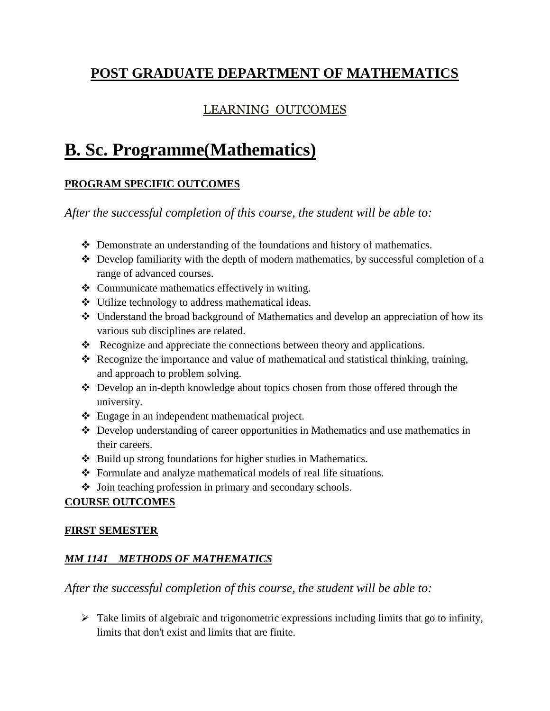## **POST GRADUATE DEPARTMENT OF MATHEMATICS**

## LEARNING OUTCOMES

# **B. Sc. Programme(Mathematics)**

### **PROGRAM SPECIFIC OUTCOMES**

*After the successful completion of this course, the student will be able to:*

- Demonstrate an understanding of the foundations and history of mathematics.
- $\triangleleft$  Develop familiarity with the depth of modern mathematics, by successful completion of a range of advanced courses.
- Communicate mathematics effectively in writing.
- Utilize technology to address mathematical ideas.
- Understand the broad background of Mathematics and develop an appreciation of how its various sub disciplines are related.
- \* Recognize and appreciate the connections between theory and applications.
- Recognize the importance and value of mathematical and statistical thinking, training, and approach to problem solving.
- Develop an in-depth knowledge about topics chosen from those offered through the university.
- Engage in an independent mathematical project.
- Develop understanding of career opportunities in Mathematics and use mathematics in their careers.
- ❖ Build up strong foundations for higher studies in Mathematics.
- Formulate and analyze mathematical models of real life situations.
- Join teaching profession in primary and secondary schools.

#### **COURSE OUTCOMES**

#### **FIRST SEMESTER**

## *MM 1141 METHODS OF MATHEMATICS*

#### *After the successful completion of this course, the student will be able to:*

 $\triangleright$  Take limits of algebraic and trigonometric expressions including limits that go to infinity, limits that don't exist and limits that are finite.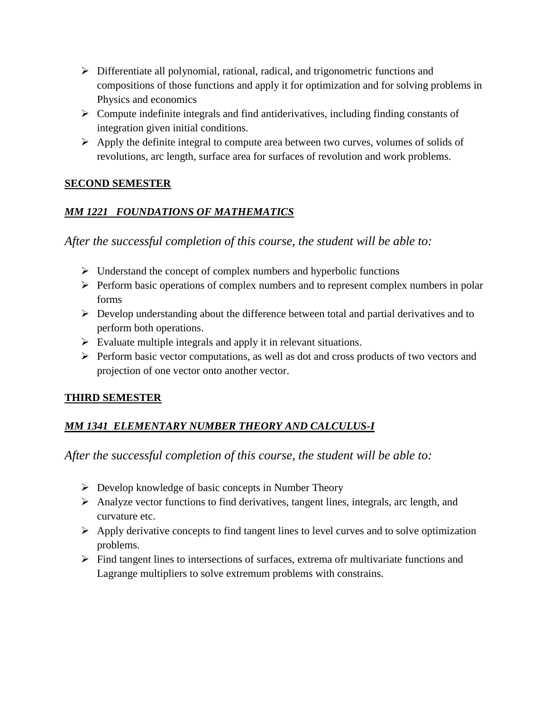- Differentiate all polynomial, rational, radical, and trigonometric functions and compositions of those functions and apply it for optimization and for solving problems in Physics and economics
- $\triangleright$  Compute indefinite integrals and find antiderivatives, including finding constants of integration given initial conditions.
- $\triangleright$  Apply the definite integral to compute area between two curves, volumes of solids of revolutions, arc length, surface area for surfaces of revolution and work problems.

### **SECOND SEMESTER**

## *MM 1221 FOUNDATIONS OF MATHEMATICS*

*After the successful completion of this course, the student will be able to:*

- $\triangleright$  Understand the concept of complex numbers and hyperbolic functions
- $\triangleright$  Perform basic operations of complex numbers and to represent complex numbers in polar forms
- $\triangleright$  Develop understanding about the difference between total and partial derivatives and to perform both operations.
- $\triangleright$  Evaluate multiple integrals and apply it in relevant situations.
- $\triangleright$  Perform basic vector computations, as well as dot and cross products of two vectors and projection of one vector onto another vector.

## **THIRD SEMESTER**

## *MM 1341 ELEMENTARY NUMBER THEORY AND CALCULUS-I*

- $\triangleright$  Develop knowledge of basic concepts in Number Theory
- $\triangleright$  Analyze vector functions to find derivatives, tangent lines, integrals, arc length, and curvature etc.
- $\triangleright$  Apply derivative concepts to find tangent lines to level curves and to solve optimization problems.
- $\triangleright$  Find tangent lines to intersections of surfaces, extrema ofr multivariate functions and Lagrange multipliers to solve extremum problems with constrains.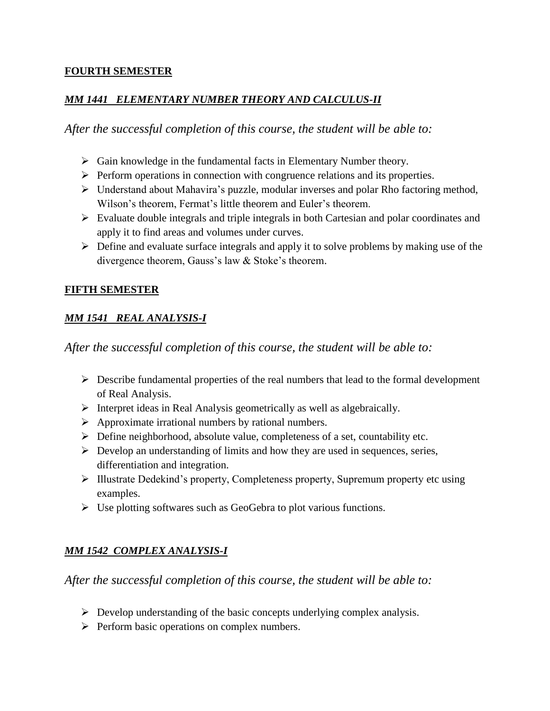#### **FOURTH SEMESTER**

#### *MM 1441 ELEMENTARY NUMBER THEORY AND CALCULUS-II*

*After the successful completion of this course, the student will be able to:*

- $\triangleright$  Gain knowledge in the fundamental facts in Elementary Number theory.
- $\triangleright$  Perform operations in connection with congruence relations and its properties.
- Understand about Mahavira's puzzle, modular inverses and polar Rho factoring method, Wilson's theorem, Fermat's little theorem and Euler's theorem.
- Evaluate double integrals and triple integrals in both Cartesian and polar coordinates and apply it to find areas and volumes under curves.
- $\triangleright$  Define and evaluate surface integrals and apply it to solve problems by making use of the divergence theorem, Gauss's law & Stoke's theorem.

#### **FIFTH SEMESTER**

## *MM 1541 REAL ANALYSIS-I*

*After the successful completion of this course, the student will be able to:*

- $\triangleright$  Describe fundamental properties of the real numbers that lead to the formal development of Real Analysis.
- $\triangleright$  Interpret ideas in Real Analysis geometrically as well as algebraically.
- $\triangleright$  Approximate irrational numbers by rational numbers.
- $\triangleright$  Define neighborhood, absolute value, completeness of a set, countability etc.
- $\triangleright$  Develop an understanding of limits and how they are used in sequences, series, differentiation and integration.
- Illustrate Dedekind's property, Completeness property, Supremum property etc using examples.
- $\triangleright$  Use plotting softwares such as GeoGebra to plot various functions.

## *MM 1542 COMPLEX ANALYSIS-I*

- $\triangleright$  Develop understanding of the basic concepts underlying complex analysis.
- $\triangleright$  Perform basic operations on complex numbers.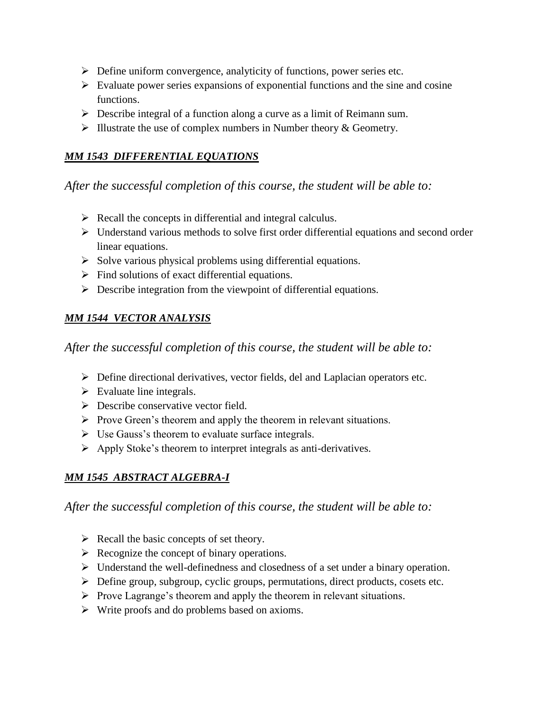- $\triangleright$  Define uniform convergence, analyticity of functions, power series etc.
- $\triangleright$  Evaluate power series expansions of exponential functions and the sine and cosine functions.
- $\triangleright$  Describe integral of a function along a curve as a limit of Reimann sum.
- $\triangleright$  Illustrate the use of complex numbers in Number theory & Geometry.

#### *MM 1543 DIFFERENTIAL EQUATIONS*

## *After the successful completion of this course, the student will be able to:*

- $\triangleright$  Recall the concepts in differential and integral calculus.
- $\triangleright$  Understand various methods to solve first order differential equations and second order linear equations.
- $\triangleright$  Solve various physical problems using differential equations.
- $\triangleright$  Find solutions of exact differential equations.
- $\triangleright$  Describe integration from the viewpoint of differential equations.

## *MM 1544 VECTOR ANALYSIS*

*After the successful completion of this course, the student will be able to:*

- $\triangleright$  Define directional derivatives, vector fields, del and Laplacian operators etc.
- $\triangleright$  Evaluate line integrals.
- $\triangleright$  Describe conservative vector field.
- $\triangleright$  Prove Green's theorem and apply the theorem in relevant situations.
- $\triangleright$  Use Gauss's theorem to evaluate surface integrals.
- $\triangleright$  Apply Stoke's theorem to interpret integrals as anti-derivatives.

## *MM 1545 ABSTRACT ALGEBRA-I*

- $\triangleright$  Recall the basic concepts of set theory.
- $\triangleright$  Recognize the concept of binary operations.
- Understand the well-definedness and closedness of a set under a binary operation.
- Define group, subgroup, cyclic groups, permutations, direct products, cosets etc.
- $\triangleright$  Prove Lagrange's theorem and apply the theorem in relevant situations.
- Write proofs and do problems based on axioms.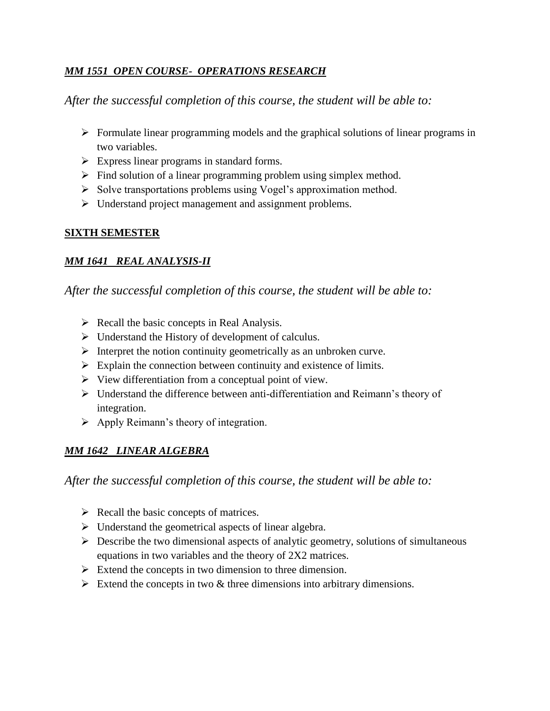#### *MM 1551 OPEN COURSE- OPERATIONS RESEARCH*

*After the successful completion of this course, the student will be able to:*

- $\triangleright$  Formulate linear programming models and the graphical solutions of linear programs in two variables.
- $\triangleright$  Express linear programs in standard forms.
- $\triangleright$  Find solution of a linear programming problem using simplex method.
- $\triangleright$  Solve transportations problems using Vogel's approximation method.
- $\triangleright$  Understand project management and assignment problems.

### **SIXTH SEMESTER**

### *MM 1641 REAL ANALYSIS-II*

*After the successful completion of this course, the student will be able to:*

- $\triangleright$  Recall the basic concepts in Real Analysis.
- $\triangleright$  Understand the History of development of calculus.
- $\triangleright$  Interpret the notion continuity geometrically as an unbroken curve.
- $\triangleright$  Explain the connection between continuity and existence of limits.
- $\triangleright$  View differentiation from a conceptual point of view.
- Understand the difference between anti-differentiation and Reimann's theory of integration.
- $\triangleright$  Apply Reimann's theory of integration.

## *MM 1642 LINEAR ALGEBRA*

- $\triangleright$  Recall the basic concepts of matrices.
- $\triangleright$  Understand the geometrical aspects of linear algebra.
- $\triangleright$  Describe the two dimensional aspects of analytic geometry, solutions of simultaneous equations in two variables and the theory of 2X2 matrices.
- $\triangleright$  Extend the concepts in two dimension to three dimension.
- $\triangleright$  Extend the concepts in two & three dimensions into arbitrary dimensions.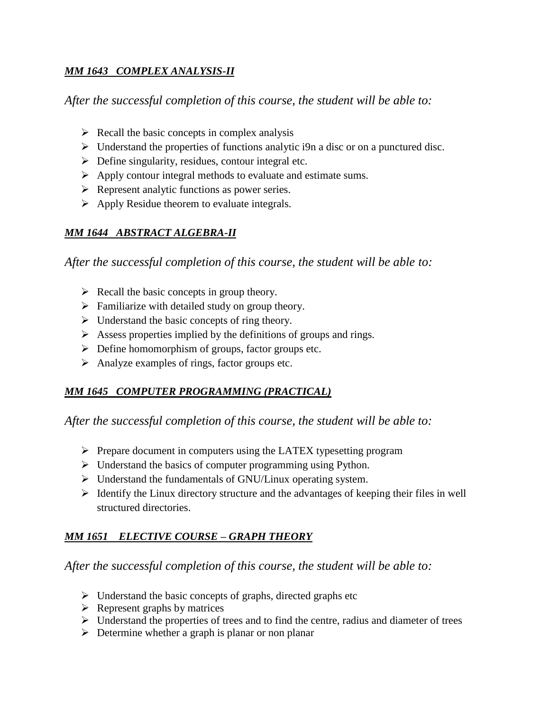### *MM 1643 COMPLEX ANALYSIS-II*

*After the successful completion of this course, the student will be able to:*

- $\triangleright$  Recall the basic concepts in complex analysis
- $\triangleright$  Understand the properties of functions analytic i9n a disc or on a punctured disc.
- $\triangleright$  Define singularity, residues, contour integral etc.
- $\triangleright$  Apply contour integral methods to evaluate and estimate sums.
- $\triangleright$  Represent analytic functions as power series.
- $\triangleright$  Apply Residue theorem to evaluate integrals.

## *MM 1644 ABSTRACT ALGEBRA-II*

*After the successful completion of this course, the student will be able to:*

- $\triangleright$  Recall the basic concepts in group theory.
- $\triangleright$  Familiarize with detailed study on group theory.
- $\triangleright$  Understand the basic concepts of ring theory.
- $\triangleright$  Assess properties implied by the definitions of groups and rings.
- $\triangleright$  Define homomorphism of groups, factor groups etc.
- $\triangleright$  Analyze examples of rings, factor groups etc.

#### *MM 1645 COMPUTER PROGRAMMING (PRACTICAL)*

*After the successful completion of this course, the student will be able to:*

- $\triangleright$  Prepare document in computers using the LATEX typesetting program
- $\triangleright$  Understand the basics of computer programming using Python.
- Understand the fundamentals of GNU/Linux operating system.
- $\triangleright$  Identify the Linux directory structure and the advantages of keeping their files in well structured directories.

## *MM 1651 ELECTIVE COURSE – GRAPH THEORY*

- $\triangleright$  Understand the basic concepts of graphs, directed graphs etc
- $\triangleright$  Represent graphs by matrices
- $\triangleright$  Understand the properties of trees and to find the centre, radius and diameter of trees
- $\triangleright$  Determine whether a graph is planar or non planar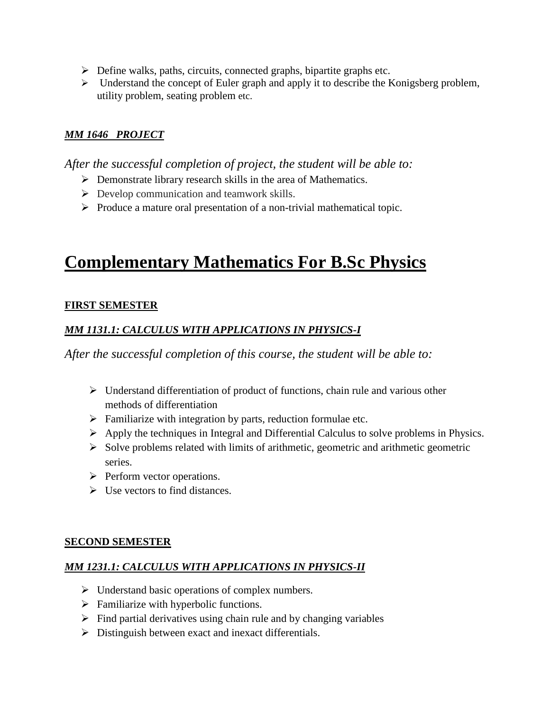- $\triangleright$  Define walks, paths, circuits, connected graphs, bipartite graphs etc.
- $\triangleright$  Understand the concept of Euler graph and apply it to describe the Konigsberg problem, utility problem, seating problem etc.

#### *MM 1646 PROJECT*

*After the successful completion of project, the student will be able to:*

- $\triangleright$  Demonstrate library research skills in the area of Mathematics.
- $\triangleright$  Develop communication and teamwork skills.
- $\triangleright$  Produce a mature oral presentation of a non-trivial mathematical topic.

## **Complementary Mathematics For B.Sc Physics**

#### **FIRST SEMESTER**

### *MM 1131.1: CALCULUS WITH APPLICATIONS IN PHYSICS-I*

*After the successful completion of this course, the student will be able to:*

- $\triangleright$  Understand differentiation of product of functions, chain rule and various other methods of differentiation
- $\triangleright$  Familiarize with integration by parts, reduction formulae etc.
- $\triangleright$  Apply the techniques in Integral and Differential Calculus to solve problems in Physics.
- $\triangleright$  Solve problems related with limits of arithmetic, geometric and arithmetic geometric series.
- $\triangleright$  Perform vector operations.
- $\triangleright$  Use vectors to find distances.

#### **SECOND SEMESTER**

## *MM 1231.1: CALCULUS WITH APPLICATIONS IN PHYSICS-II*

- $\triangleright$  Understand basic operations of complex numbers.
- $\triangleright$  Familiarize with hyperbolic functions.
- $\triangleright$  Find partial derivatives using chain rule and by changing variables
- $\triangleright$  Distinguish between exact and inexact differentials.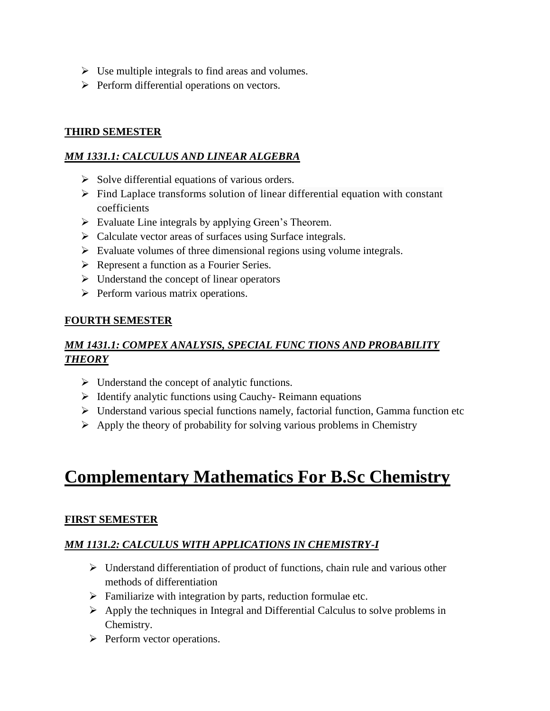- $\triangleright$  Use multiple integrals to find areas and volumes.
- $\triangleright$  Perform differential operations on vectors.

#### **THIRD SEMESTER**

#### *MM 1331.1: CALCULUS AND LINEAR ALGEBRA*

- $\triangleright$  Solve differential equations of various orders.
- $\triangleright$  Find Laplace transforms solution of linear differential equation with constant coefficients
- $\triangleright$  Evaluate Line integrals by applying Green's Theorem.
- $\triangleright$  Calculate vector areas of surfaces using Surface integrals.
- $\triangleright$  Evaluate volumes of three dimensional regions using volume integrals.
- ▶ Represent a function as a Fourier Series.
- $\triangleright$  Understand the concept of linear operators
- $\triangleright$  Perform various matrix operations.

#### **FOURTH SEMESTER**

### *MM 1431.1: COMPEX ANALYSIS, SPECIAL FUNC TIONS AND PROBABILITY THEORY*

- $\triangleright$  Understand the concept of analytic functions.
- $\triangleright$  Identify analytic functions using Cauchy- Reimann equations
- $\triangleright$  Understand various special functions namely, factorial function, Gamma function etc
- $\triangleright$  Apply the theory of probability for solving various problems in Chemistry

# **Complementary Mathematics For B.Sc Chemistry**

#### **FIRST SEMESTER**

#### *MM 1131.2: CALCULUS WITH APPLICATIONS IN CHEMISTRY-I*

- $\triangleright$  Understand differentiation of product of functions, chain rule and various other methods of differentiation
- $\triangleright$  Familiarize with integration by parts, reduction formulae etc.
- $\triangleright$  Apply the techniques in Integral and Differential Calculus to solve problems in Chemistry.
- $\triangleright$  Perform vector operations.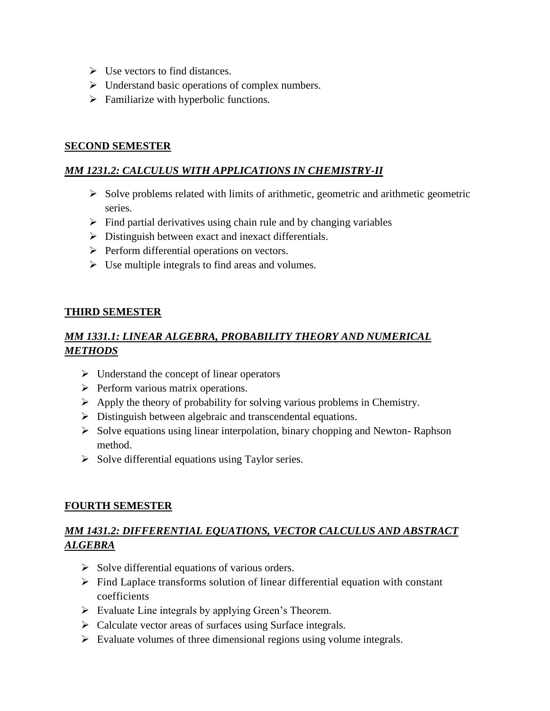- $\triangleright$  Use vectors to find distances.
- $\triangleright$  Understand basic operations of complex numbers.
- $\triangleright$  Familiarize with hyperbolic functions.

#### **SECOND SEMESTER**

#### *MM 1231.2: CALCULUS WITH APPLICATIONS IN CHEMISTRY-II*

- $\triangleright$  Solve problems related with limits of arithmetic, geometric and arithmetic geometric series.
- $\triangleright$  Find partial derivatives using chain rule and by changing variables
- $\triangleright$  Distinguish between exact and inexact differentials.
- $\triangleright$  Perform differential operations on vectors.
- $\triangleright$  Use multiple integrals to find areas and volumes.

#### **THIRD SEMESTER**

### *MM 1331.1: LINEAR ALGEBRA, PROBABILITY THEORY AND NUMERICAL METHODS*

- $\triangleright$  Understand the concept of linear operators
- $\triangleright$  Perform various matrix operations.
- $\triangleright$  Apply the theory of probability for solving various problems in Chemistry.
- Distinguish between algebraic and transcendental equations.
- $\triangleright$  Solve equations using linear interpolation, binary chopping and Newton-Raphson method.
- $\triangleright$  Solve differential equations using Taylor series.

#### **FOURTH SEMESTER**

### *MM 1431.2: DIFFERENTIAL EQUATIONS, VECTOR CALCULUS AND ABSTRACT ALGEBRA*

- $\triangleright$  Solve differential equations of various orders.
- $\triangleright$  Find Laplace transforms solution of linear differential equation with constant coefficients
- $\triangleright$  Evaluate Line integrals by applying Green's Theorem.
- $\triangleright$  Calculate vector areas of surfaces using Surface integrals.
- $\triangleright$  Evaluate volumes of three dimensional regions using volume integrals.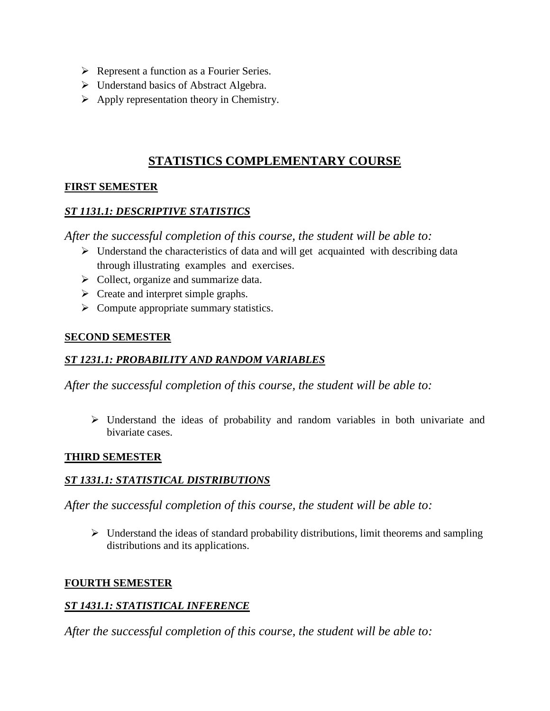- Represent a function as a Fourier Series.
- $\triangleright$  Understand basics of Abstract Algebra.
- $\triangleright$  Apply representation theory in Chemistry.

## **STATISTICS COMPLEMENTARY COURSE**

#### **FIRST SEMESTER**

#### *ST 1131.1: DESCRIPTIVE STATISTICS*

*After the successful completion of this course, the student will be able to:*

- $\triangleright$  Understand the characteristics of data and will get acquainted with describing data through illustrating examples and exercises.
- $\triangleright$  Collect, organize and summarize data.
- $\triangleright$  Create and interpret simple graphs.
- $\triangleright$  Compute appropriate summary statistics.

#### **SECOND SEMESTER**

#### *ST 1231.1: PROBABILITY AND RANDOM VARIABLES*

*After the successful completion of this course, the student will be able to:*

 $\triangleright$  Understand the ideas of probability and random variables in both univariate and bivariate cases.

#### **THIRD SEMESTER**

#### *ST 1331.1: STATISTICAL DISTRIBUTIONS*

*After the successful completion of this course, the student will be able to:*

 $\triangleright$  Understand the ideas of standard probability distributions, limit theorems and sampling distributions and its applications.

#### **FOURTH SEMESTER**

#### *ST 1431.1: STATISTICAL INFERENCE*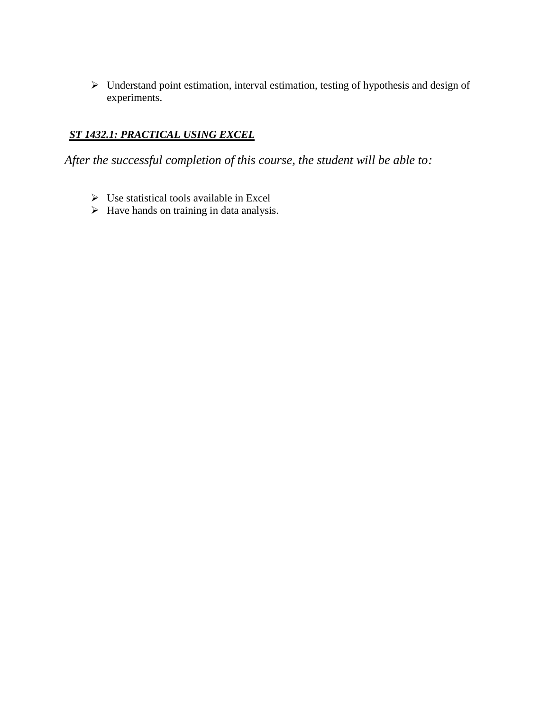$\triangleright$  Understand point estimation, interval estimation, testing of hypothesis and design of experiments.

### *ST 1432.1: PRACTICAL USING EXCEL*

- $\triangleright$  Use statistical tools available in Excel
- $\triangleright$  Have hands on training in data analysis.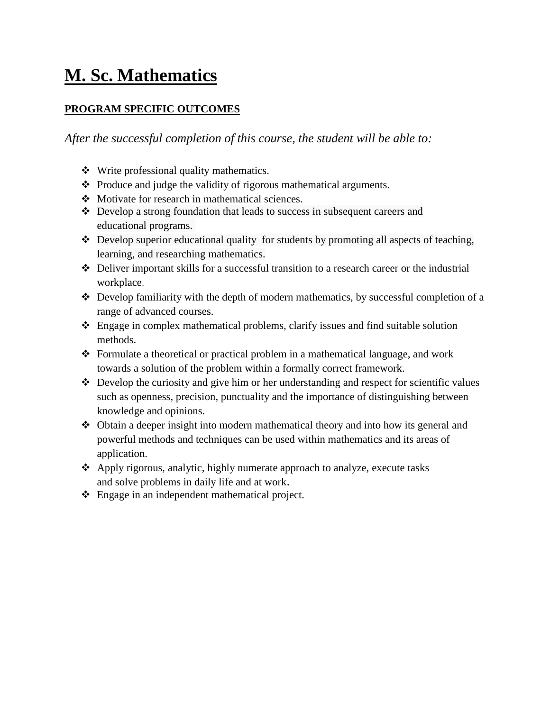# **M. Sc. Mathematics**

#### **PROGRAM SPECIFIC OUTCOMES**

- Write professional quality mathematics.
- $\triangle$  Produce and judge the validity of rigorous mathematical arguments.
- Motivate for research in mathematical sciences.
- Develop a strong foundation that leads to success in subsequent careers and educational programs.
- Develop superior educational quality for students by promoting all aspects of teaching, learning, and researching mathematics.
- Deliver important skills for a successful transition to a research career or the industrial workplace.
- $\triangle$  Develop familiarity with the depth of modern mathematics, by successful completion of a range of advanced courses.
- Engage in complex mathematical problems, clarify issues and find suitable solution methods.
- Formulate a theoretical or practical problem in a mathematical language, and work towards a solution of the problem within a formally correct framework.
- $\triangle$  Develop the curiosity and give him or her understanding and respect for scientific values such as openness, precision, punctuality and the importance of distinguishing between knowledge and opinions.
- Obtain a deeper insight into modern mathematical theory and into how its general and powerful methods and techniques can be used within mathematics and its areas of application.
- Apply rigorous, analytic, highly numerate approach to analyze, execute tasks and solve problems in daily life and at work.
- Engage in an independent mathematical project.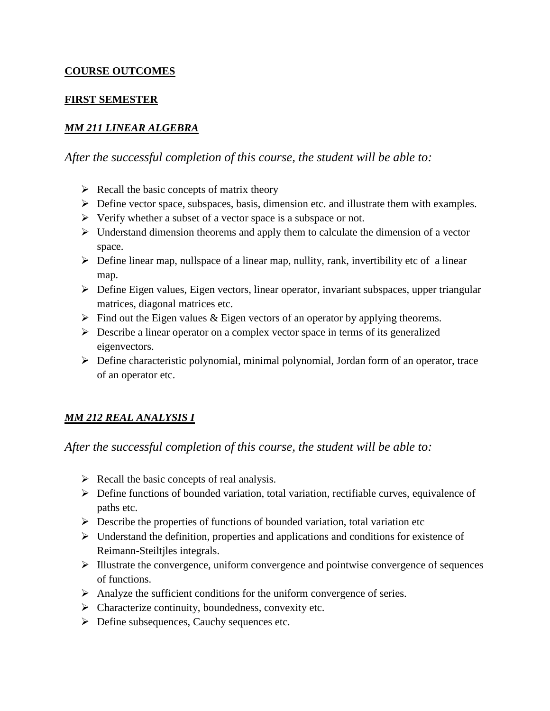#### **COURSE OUTCOMES**

#### **FIRST SEMESTER**

#### *MM 211 LINEAR ALGEBRA*

*After the successful completion of this course, the student will be able to:*

- $\triangleright$  Recall the basic concepts of matrix theory
- $\triangleright$  Define vector space, subspaces, basis, dimension etc. and illustrate them with examples.
- $\triangleright$  Verify whether a subset of a vector space is a subspace or not.
- $\triangleright$  Understand dimension theorems and apply them to calculate the dimension of a vector space.
- $\triangleright$  Define linear map, nullspace of a linear map, nullity, rank, invertibility etc of a linear map.
- Define Eigen values, Eigen vectors, linear operator, invariant subspaces, upper triangular matrices, diagonal matrices etc.
- $\triangleright$  Find out the Eigen values & Eigen vectors of an operator by applying theorems.
- $\triangleright$  Describe a linear operator on a complex vector space in terms of its generalized eigenvectors.
- Define characteristic polynomial, minimal polynomial, Jordan form of an operator, trace of an operator etc.

## *MM 212 REAL ANALYSIS I*

- $\triangleright$  Recall the basic concepts of real analysis.
- $\triangleright$  Define functions of bounded variation, total variation, rectifiable curves, equivalence of paths etc.
- $\triangleright$  Describe the properties of functions of bounded variation, total variation etc
- $\triangleright$  Understand the definition, properties and applications and conditions for existence of Reimann-Steiltjles integrals.
- $\triangleright$  Illustrate the convergence, uniform convergence and pointwise convergence of sequences of functions.
- $\triangleright$  Analyze the sufficient conditions for the uniform convergence of series.
- $\triangleright$  Characterize continuity, boundedness, convexity etc.
- Define subsequences, Cauchy sequences etc.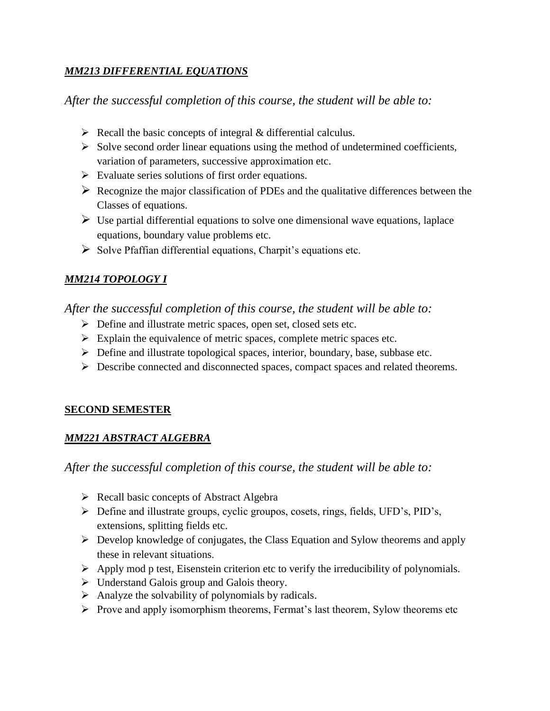#### *MM213 DIFFERENTIAL EQUATIONS*

*After the successful completion of this course, the student will be able to:*

- $\triangleright$  Recall the basic concepts of integral & differential calculus.
- $\triangleright$  Solve second order linear equations using the method of undetermined coefficients, variation of parameters, successive approximation etc.
- $\triangleright$  Evaluate series solutions of first order equations.
- $\triangleright$  Recognize the major classification of PDEs and the qualitative differences between the Classes of equations.
- $\triangleright$  Use partial differential equations to solve one dimensional wave equations, laplace equations, boundary value problems etc.
- $\triangleright$  Solve Pfaffian differential equations, Charpit's equations etc.

#### *MM214 TOPOLOGY I*

*After the successful completion of this course, the student will be able to:*

- Define and illustrate metric spaces, open set, closed sets etc.
- $\triangleright$  Explain the equivalence of metric spaces, complete metric spaces etc.
- Define and illustrate topological spaces, interior, boundary, base, subbase etc.
- $\triangleright$  Describe connected and disconnected spaces, compact spaces and related theorems.

#### **SECOND SEMESTER**

#### *MM221 ABSTRACT ALGEBRA*

- $\triangleright$  Recall basic concepts of Abstract Algebra
- Define and illustrate groups, cyclic groupos, cosets, rings, fields, UFD's, PID's, extensions, splitting fields etc.
- $\triangleright$  Develop knowledge of conjugates, the Class Equation and Sylow theorems and apply these in relevant situations.
- $\triangleright$  Apply mod p test, Eisenstein criterion etc to verify the irreducibility of polynomials.
- $\triangleright$  Understand Galois group and Galois theory.
- $\triangleright$  Analyze the solvability of polynomials by radicals.
- $\triangleright$  Prove and apply isomorphism theorems, Fermat's last theorem, Sylow theorems etc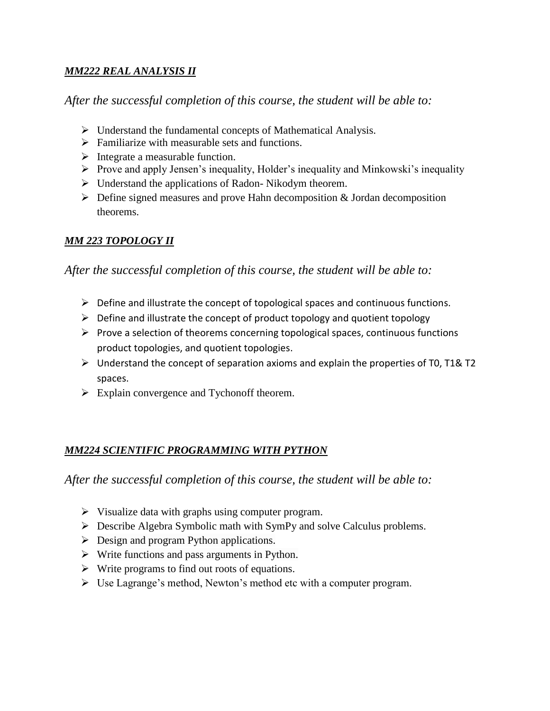#### *MM222 REAL ANALYSIS II*

*After the successful completion of this course, the student will be able to:*

- $\triangleright$  Understand the fundamental concepts of Mathematical Analysis.
- $\triangleright$  Familiarize with measurable sets and functions.
- $\triangleright$  Integrate a measurable function.
- $\triangleright$  Prove and apply Jensen's inequality, Holder's inequality and Minkowski's inequality
- $\triangleright$  Understand the applications of Radon-Nikodym theorem.
- $\triangleright$  Define signed measures and prove Hahn decomposition & Jordan decomposition theorems.

## *MM 223 TOPOLOGY II*

*After the successful completion of this course, the student will be able to:*

- $\triangleright$  Define and illustrate the concept of topological spaces and continuous functions.
- $\triangleright$  Define and illustrate the concept of product topology and quotient topology
- $\triangleright$  Prove a selection of theorems concerning topological spaces, continuous functions product topologies, and quotient topologies.
- $\triangleright$  Understand the concept of separation axioms and explain the properties of T0, T1& T2 spaces.
- $\triangleright$  Explain convergence and Tychonoff theorem.

## *MM224 SCIENTIFIC PROGRAMMING WITH PYTHON*

- $\triangleright$  Visualize data with graphs using computer program.
- Describe Algebra Symbolic math with SymPy and solve Calculus problems.
- $\triangleright$  Design and program Python applications.
- $\triangleright$  Write functions and pass arguments in Python.
- $\triangleright$  Write programs to find out roots of equations.
- $\triangleright$  Use Lagrange's method, Newton's method etc with a computer program.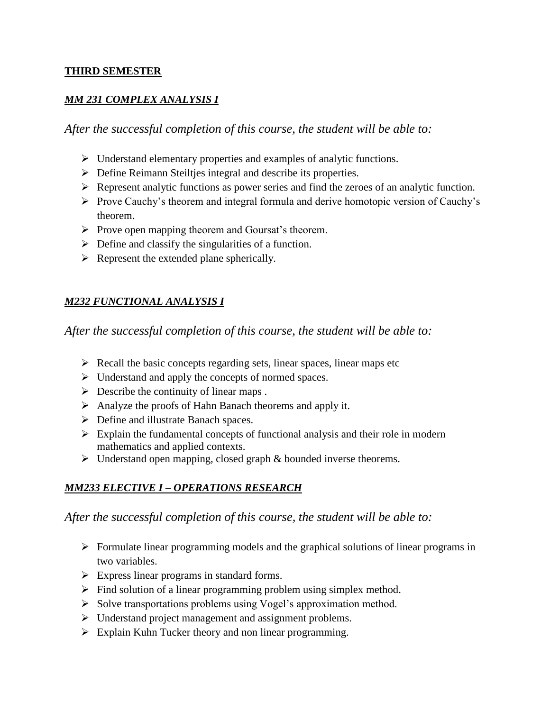#### **THIRD SEMESTER**

#### *MM 231 COMPLEX ANALYSIS I*

*After the successful completion of this course, the student will be able to:*

- $\triangleright$  Understand elementary properties and examples of analytic functions.
- Define Reimann Steiltjes integral and describe its properties.
- Represent analytic functions as power series and find the zeroes of an analytic function.
- Prove Cauchy's theorem and integral formula and derive homotopic version of Cauchy's theorem.
- $\triangleright$  Prove open mapping theorem and Goursat's theorem.
- $\triangleright$  Define and classify the singularities of a function.
- $\triangleright$  Represent the extended plane spherically.

### *M232 FUNCTIONAL ANALYSIS I*

*After the successful completion of this course, the student will be able to:*

- $\triangleright$  Recall the basic concepts regarding sets, linear spaces, linear maps etc
- $\triangleright$  Understand and apply the concepts of normed spaces.
- $\triangleright$  Describe the continuity of linear maps.
- $\triangleright$  Analyze the proofs of Hahn Banach theorems and apply it.
- Define and illustrate Banach spaces.
- $\triangleright$  Explain the fundamental concepts of functional analysis and their role in modern mathematics and applied contexts.
- $\triangleright$  Understand open mapping, closed graph & bounded inverse theorems.

#### *MM233 ELECTIVE I – OPERATIONS RESEARCH*

- $\triangleright$  Formulate linear programming models and the graphical solutions of linear programs in two variables.
- $\triangleright$  Express linear programs in standard forms.
- $\triangleright$  Find solution of a linear programming problem using simplex method.
- $\triangleright$  Solve transportations problems using Vogel's approximation method.
- $\triangleright$  Understand project management and assignment problems.
- $\triangleright$  Explain Kuhn Tucker theory and non linear programming.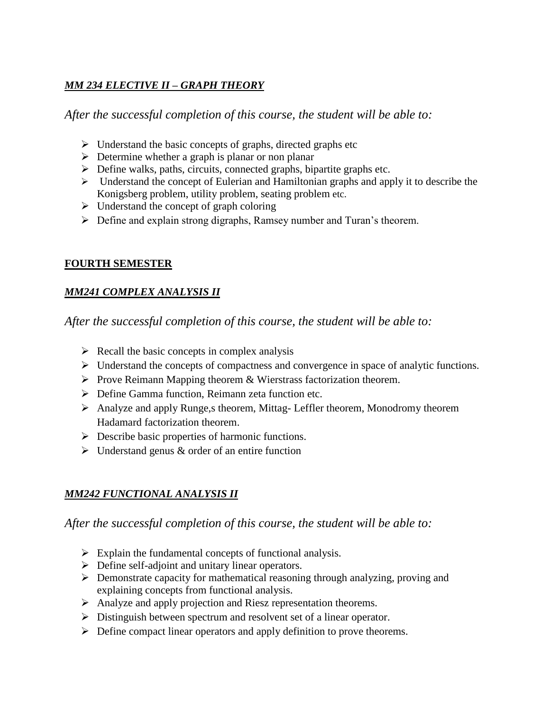### *MM 234 ELECTIVE II – GRAPH THEORY*

*After the successful completion of this course, the student will be able to:*

- $\triangleright$  Understand the basic concepts of graphs, directed graphs etc
- $\triangleright$  Determine whether a graph is planar or non planar
- $\triangleright$  Define walks, paths, circuits, connected graphs, bipartite graphs etc.
- $\triangleright$  Understand the concept of Eulerian and Hamiltonian graphs and apply it to describe the Konigsberg problem, utility problem, seating problem etc.
- $\triangleright$  Understand the concept of graph coloring
- Define and explain strong digraphs, Ramsey number and Turan's theorem.

#### **FOURTH SEMESTER**

#### *MM241 COMPLEX ANALYSIS II*

*After the successful completion of this course, the student will be able to:*

- $\triangleright$  Recall the basic concepts in complex analysis
- $\triangleright$  Understand the concepts of compactness and convergence in space of analytic functions.
- $\triangleright$  Prove Reimann Mapping theorem & Wierstrass factorization theorem.
- Define Gamma function, Reimann zeta function etc.
- Analyze and apply Runge,s theorem, Mittag- Leffler theorem, Monodromy theorem Hadamard factorization theorem.
- $\triangleright$  Describe basic properties of harmonic functions.
- $\triangleright$  Understand genus & order of an entire function

## *MM242 FUNCTIONAL ANALYSIS II*

- $\triangleright$  Explain the fundamental concepts of functional analysis.
- **Define self-adjoint and unitary linear operators.**
- $\triangleright$  Demonstrate capacity for mathematical reasoning through analyzing, proving and explaining concepts from functional analysis.
- Analyze and apply projection and Riesz representation theorems.
- Distinguish between spectrum and resolvent set of a linear operator.
- $\triangleright$  Define compact linear operators and apply definition to prove theorems.